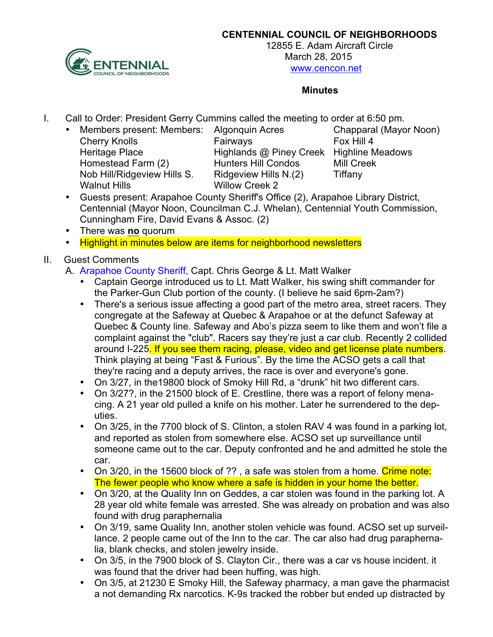

**CENTENNIAL COUNCIL OF NEIGHBORHOODS** 

12855 E. Adam Aircraft Circle March 28, 2015 www.cencon.net

#### **Minutes**

- I. Call to Order: President Gerry Cummins called the meeting to order at 6:50 pm.
	- Members present: Members: Algonquin Acres Chapparal (Mayor Noon) Cherry Knolls **Fairways** Fairways Fox Hill 4 Heritage Place **Highlands @ Piney Creek** Highline Meadows Homestead Farm (2) Hunters Hill Condos Mill Creek Nob Hill/Ridgeview Hills S. Ridgeview Hills N.(2) Tiffany Walnut Hills Willow Creek 2

- Guests present: Arapahoe County Sheriff's Office (2), Arapahoe Library District, Centennial (Mayor Noon, Councilman C.J. Whelan), Centennial Youth Commission, Cunningham Fire, David Evans & Assoc. (2)
- There was **no** quorum
- Highlight in minutes below are items for neighborhood newsletters

# II. Guest Comments

- A. Arapahoe County Sheriff, Capt. Chris George & Lt. Matt Walker
	- Captain George introduced us to Lt. Matt Walker, his swing shift commander for the Parker-Gun Club portion of the county. (I believe he said 6pm-2am?)
	- There's a serious issue affecting a good part of the metro area, street racers. They congregate at the Safeway at Quebec & Arapahoe or at the defunct Safeway at Quebec & County line. Safeway and Abo's pizza seem to like them and won't file a complaint against the "club". Racers say they're just a car club. Recently 2 collided around I-225. If you see them racing, please, video and get license plate numbers. Think playing at being "Fast & Furious". By the time the ACSO gets a call that they're racing and a deputy arrives, the race is over and everyone's gone.
	- On 3/27, in the19800 block of Smoky Hill Rd, a "drunk" hit two different cars.
	- On 3/27?, in the 21500 block of E. Crestline, there was a report of felony menacing. A 21 year old pulled a knife on his mother. Later he surrendered to the deputies.
	- On 3/25, in the 7700 block of S. Clinton, a stolen RAV 4 was found in a parking lot, and reported as stolen from somewhere else. ACSO set up surveillance until someone came out to the car. Deputy confronted and he and admitted he stole the car.
	- On 3/20, in the 15600 block of ??, a safe was stolen from a home. Crime note: The fewer people who know where a safe is hidden in your home the better.
	- On 3/20, at the Quality Inn on Geddes, a car stolen was found in the parking lot. A 28 year old white female was arrested. She was already on probation and was also found with drug paraphernalia
	- On 3/19, same Quality Inn, another stolen vehicle was found. ACSO set up surveillance. 2 people came out of the Inn to the car. The car also had drug paraphernalia, blank checks, and stolen jewelry inside.
	- On 3/5, in the 7900 block of S. Clayton Cir., there was a car vs house incident. it was found that the driver had been huffing, was high.
	- On 3/5, at 21230 E Smoky Hill, the Safeway pharmacy, a man gave the pharmacist a not demanding Rx narcotics. K-9s tracked the robber but ended up distracted by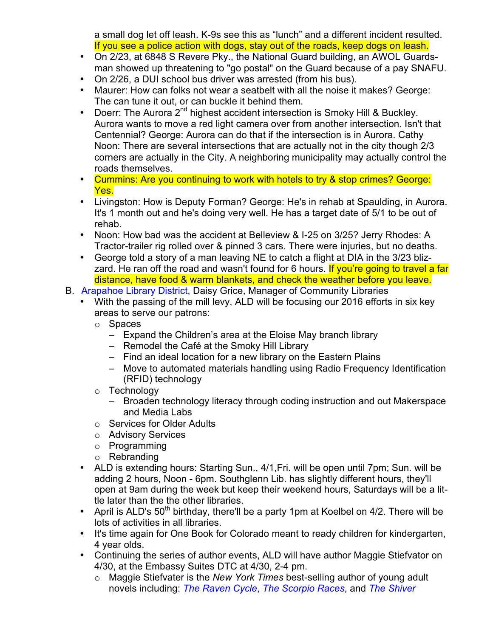a small dog let off leash. K-9s see this as "lunch" and a different incident resulted. If you see a police action with dogs, stay out of the roads, keep dogs on leash.

- On 2/23, at 6848 S Revere Pky., the National Guard building, an AWOL Guardsman showed up threatening to "go postal" on the Guard because of a pay SNAFU.
- On 2/26, a DUI school bus driver was arrested (from his bus).
- Maurer: How can folks not wear a seatbelt with all the noise it makes? George: The can tune it out, or can buckle it behind them.
- Doerr: The Aurora 2<sup>nd</sup> highest accident intersection is Smoky Hill & Buckley. Aurora wants to move a red light camera over from another intersection. Isn't that Centennial? George: Aurora can do that if the intersection is in Aurora. Cathy Noon: There are several intersections that are actually not in the city though 2/3 corners are actually in the City. A neighboring municipality may actually control the roads themselves.
- Cummins: Are you continuing to work with hotels to try & stop crimes? George: Yes.
- Livingston: How is Deputy Forman? George: He's in rehab at Spaulding, in Aurora. It's 1 month out and he's doing very well. He has a target date of 5/1 to be out of rehab.
- Noon: How bad was the accident at Belleview & I-25 on 3/25? Jerry Rhodes: A Tractor-trailer rig rolled over & pinned 3 cars. There were injuries, but no deaths.
- George told a story of a man leaving NE to catch a flight at DIA in the 3/23 blizzard. He ran off the road and wasn't found for 6 hours. If you're going to travel a far distance, have food & warm blankets, and check the weather before you leave.
- B. Arapahoe Library District, Daisy Grice, Manager of Community Libraries
	- With the passing of the mill levy, ALD will be focusing our 2016 efforts in six key areas to serve our patrons:
		- o Spaces
			- Expand the Children's area at the Eloise May branch library
			- Remodel the Café at the Smoky Hill Library
			- Find an ideal location for a new library on the Eastern Plains
			- Move to automated materials handling using Radio Frequency Identification (RFID) technology
		- o Technology
			- Broaden technology literacy through coding instruction and out Makerspace and Media Labs
		- o Services for Older Adults
		- o Advisory Services
		- o Programming
		- o Rebranding
	- ALD is extending hours: Starting Sun., 4/1,Fri. will be open until 7pm; Sun. will be adding 2 hours, Noon - 6pm. Southglenn Lib. has slightly different hours, they'll open at 9am during the week but keep their weekend hours, Saturdays will be a little later than the the other libraries.
	- April is ALD's  $50<sup>th</sup>$  birthday, there'll be a party 1pm at Koelbel on 4/2. There will be lots of activities in all libraries.
	- It's time again for One Book for Colorado meant to ready children for kindergarten, 4 year olds.
	- Continuing the series of author events, ALD will have author Maggie Stiefvator on 4/30, at the Embassy Suites DTC at 4/30, 2-4 pm.
		- o Maggie Stiefvater is the *New York Times* best-selling author of young adult novels including: *The Raven Cycle*, *The Scorpio Races*, and *The Shiver*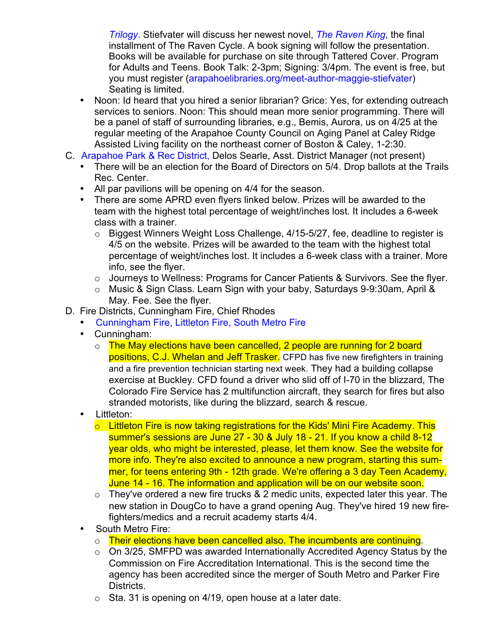*Trilogy*. Stiefvater will discuss her newest novel, *The Raven King*, the final installment of The Raven Cycle. A book signing will follow the presentation. Books will be available for purchase on site through Tattered Cover. Program for Adults and Teens. Book Talk: 2-3pm; Signing: 3/4pm. The event is free, but you must register (arapahoelibraries.org/meet-author-maggie-stiefvater) Seating is limited.

- Noon: Id heard that you hired a senior librarian? Grice: Yes, for extending outreach services to seniors. Noon: This should mean more senior programming. There will be a panel of staff of surrounding libraries, e.g., Bemis, Aurora, us on 4/25 at the regular meeting of the Arapahoe County Council on Aging Panel at Caley Ridge Assisted Living facility on the northeast corner of Boston & Caley, 1-2:30.
- C. Arapahoe Park & Rec District, Delos Searle, Asst. District Manager (not present)
	- There will be an election for the Board of Directors on 5/4. Drop ballots at the Trails Rec. Center.
	- All par pavilions will be opening on 4/4 for the season.
	- There are some APRD even flyers linked below. Prizes will be awarded to the team with the highest total percentage of weight/inches lost. It includes a 6-week class with a trainer.
		- o Biggest Winners Weight Loss Challenge, 4/15-5/27, fee, deadline to register is 4/5 on the website. Prizes will be awarded to the team with the highest total percentage of weight/inches lost. It includes a 6-week class with a trainer. More info, see the flyer.
		- o Journeys to Wellness: Programs for Cancer Patients & Survivors. See the flyer.
		- o Music & Sign Class. Learn Sign with your baby, Saturdays 9-9:30am, April & May. Fee. See the flyer.
- D. Fire Districts, Cunningham Fire, Chief Rhodes
	- Cunningham Fire, Littleton Fire, South Metro Fire
	- Cunningham:
		- o The May elections have been cancelled, 2 people are running for 2 board positions, C.J. Whelan and Jeff Trasker. CFPD has five new firefighters in training and a fire prevention technician starting next week. They had a building collapse exercise at Buckley. CFD found a driver who slid off of I-70 in the blizzard, The Colorado Fire Service has 2 multifunction aircraft, they search for fires but also stranded motorists, like during the blizzard, search & rescue.
	- Littleton:
		- $\circ$  Littleton Fire is now taking registrations for the Kids' Mini Fire Academy. This summer's sessions are June 27 - 30 & July 18 - 21. If you know a child 8-12 year olds, who might be interested, please, let them know. See the website for more info. They're also excited to announce a new program, starting this summer, for teens entering 9th - 12th grade. We're offering a 3 day Teen Academy, June 14 - 16. The information and application will be on our website soon.
		- $\circ$  They've ordered a new fire trucks & 2 medic units, expected later this year. The new station in DougCo to have a grand opening Aug. They've hired 19 new firefighters/medics and a recruit academy starts 4/4.
	- South Metro Fire:
		- o Their elections have been cancelled also. The incumbents are continuing.
		- $\circ$  On 3/25, SMFPD was awarded Internationally Accredited Agency Status by the Commission on Fire Accreditation International. This is the second time the agency has been accredited since the merger of South Metro and Parker Fire Districts.
		- $\circ$  Sta. 31 is opening on 4/19, open house at a later date.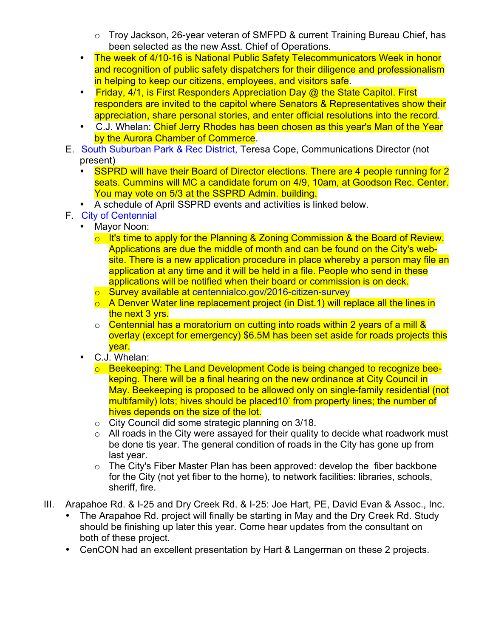- o Troy Jackson, 26-year veteran of SMFPD & current Training Bureau Chief, has been selected as the new Asst. Chief of Operations.
- The week of 4/10-16 is National Public Safety Telecommunicators Week in honor and recognition of public safety dispatchers for their diligence and professionalism in helping to keep our citizens, employees, and visitors safe.
- Friday, 4/1, is First Responders Appreciation Day @ the State Capitol. First responders are invited to the capitol where Senators & Representatives show their appreciation, share personal stories, and enter official resolutions into the record.
- C.J. Whelan: Chief Jerry Rhodes has been chosen as this year's Man of the Year by the Aurora Chamber of Commerce.
- E. South Suburban Park & Rec District, Teresa Cope, Communications Director (not present)
	- SSPRD will have their Board of Director elections. There are 4 people running for 2 seats. Cummins will MC a candidate forum on 4/9, 10am, at Goodson Rec. Center. You may vote on 5/3 at the SSPRD Admin. building.
	- A schedule of April SSPRD events and activities is linked below.
- F. City of Centennial
	- Mayor Noon:
		- $\circ$  It's time to apply for the Planning & Zoning Commission & the Board of Review. Applications are due the middle of month and can be found on the City's website. There is a new application procedure in place whereby a person may file an application at any time and it will be held in a file. People who send in these applications will be notified when their board or commission is on deck.
		- o Survey available at centennialco.gov/2016-citizen-survey
		- $\circ$  A Denver Water line replacement project (in Dist.1) will replace all the lines in the next 3 yrs.
		- $\circ$  Centennial has a moratorium on cutting into roads within 2 years of a mill & overlay (except for emergency) \$6.5M has been set aside for roads projects this year.
		- C.J. Whelan:
			- o Beekeeping: The Land Development Code is being changed to recognize beekeping. There will be a final hearing on the new ordinance at City Council in May. Beekeeping is proposed to be allowed only on single-family residential (not multifamily) lots; hives should be placed10' from property lines; the number of hives depends on the size of the lot.
			- o City Council did some strategic planning on 3/18.
			- $\circ$  All roads in the City were assayed for their quality to decide what roadwork must be done tis year. The general condition of roads in the City has gone up from last year.
			- $\circ$  The City's Fiber Master Plan has been approved: develop the fiber backbone for the City (not yet fiber to the home), to network facilities: libraries, schools, sheriff, fire.
- III. Arapahoe Rd. & I-25 and Dry Creek Rd. & I-25: Joe Hart, PE, David Evan & Assoc., Inc.
	- The Arapahoe Rd. project will finally be starting in May and the Dry Creek Rd. Study should be finishing up later this year. Come hear updates from the consultant on both of these project.
	- CenCON had an excellent presentation by Hart & Langerman on these 2 projects.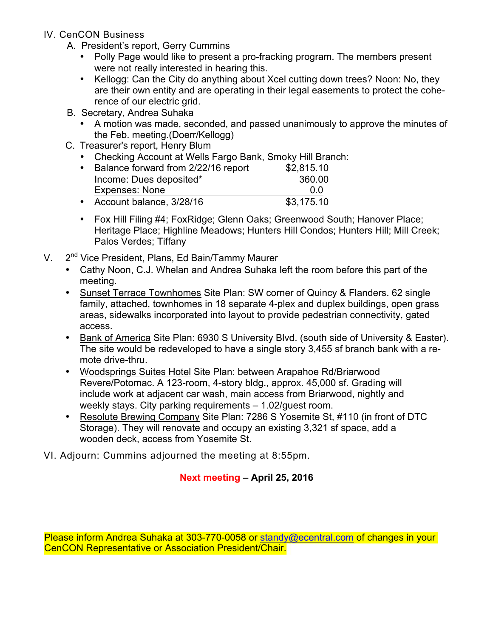- IV. CenCON Business
	- A. President's report, Gerry Cummins
		- Polly Page would like to present a pro-fracking program. The members present were not really interested in hearing this.
		- Kellogg: Can the City do anything about Xcel cutting down trees? Noon: No, they are their own entity and are operating in their legal easements to protect the coherence of our electric grid.
	- B. Secretary, Andrea Suhaka
		- A motion was made, seconded, and passed unanimously to approve the minutes of the Feb. meeting.(Doerr/Kellogg)
	- C. Treasurer's report, Henry Blum
		- Checking Account at Wells Fargo Bank, Smoky Hill Branch:

|           | • Balance forward from 2/22/16 report | \$2,815.10 |
|-----------|---------------------------------------|------------|
|           | Income: Dues deposited*               | 360.00     |
|           | <b>Expenses: None</b>                 | 0.0        |
| $\bullet$ | Account balance, 3/28/16              | \$3,175.10 |

- Fox Hill Filing #4; FoxRidge; Glenn Oaks; Greenwood South; Hanover Place; Heritage Place; Highline Meadows; Hunters Hill Condos; Hunters Hill; Mill Creek; Palos Verdes; Tiffany
- V. 2<sup>nd</sup> Vice President, Plans, Ed Bain/Tammy Maurer
	- Cathy Noon, C.J. Whelan and Andrea Suhaka left the room before this part of the meeting.
	- Sunset Terrace Townhomes Site Plan: SW corner of Quincy & Flanders. 62 single family, attached, townhomes in 18 separate 4-plex and duplex buildings, open grass areas, sidewalks incorporated into layout to provide pedestrian connectivity, gated access.
	- Bank of America Site Plan: 6930 S University Blvd. (south side of University & Easter). The site would be redeveloped to have a single story 3,455 sf branch bank with a remote drive-thru.
	- Woodsprings Suites Hotel Site Plan: between Arapahoe Rd/Briarwood Revere/Potomac. A 123-room, 4-story bldg., approx. 45,000 sf. Grading will include work at adjacent car wash, main access from Briarwood, nightly and weekly stays. City parking requirements – 1.02/guest room.
	- Resolute Brewing Company Site Plan: 7286 S Yosemite St, #110 (in front of DTC Storage). They will renovate and occupy an existing 3,321 sf space, add a wooden deck, access from Yosemite St.

VI. Adjourn: Cummins adjourned the meeting at 8:55pm.

# **Next meeting – April 25, 2016**

Please inform Andrea Suhaka at 303-770-0058 or standy@ecentral.com of changes in your CenCON Representative or Association President/Chair.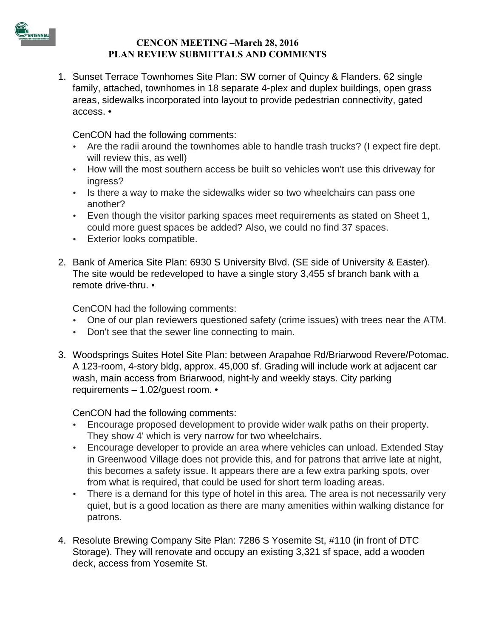

#### **CENCON MEETING –March 28, 2016 PLAN REVIEW SUBMITTALS AND COMMENTS**

1. Sunset Terrace Townhomes Site Plan: SW corner of Quincy & Flanders. 62 single family, attached, townhomes in 18 separate 4-plex and duplex buildings, open grass areas, sidewalks incorporated into layout to provide pedestrian connectivity, gated access. •

CenCON had the following comments:

- Are the radii around the townhomes able to handle trash trucks? (I expect fire dept. will review this, as well)
- How will the most southern access be built so vehicles won't use this driveway for ingress?
- Is there a way to make the sidewalks wider so two wheelchairs can pass one another?
- Even though the visitor parking spaces meet requirements as stated on Sheet 1, could more guest spaces be added? Also, we could no find 37 spaces.
- Exterior looks compatible.
- 2. Bank of America Site Plan: 6930 S University Blvd. (SE side of University & Easter). The site would be redeveloped to have a single story 3,455 sf branch bank with a remote drive-thru. •

CenCON had the following comments:

- One of our plan reviewers questioned safety (crime issues) with trees near the ATM.
- Don't see that the sewer line connecting to main.
- 3. Woodsprings Suites Hotel Site Plan: between Arapahoe Rd/Briarwood Revere/Potomac. A 123-room, 4-story bldg, approx. 45,000 sf. Grading will include work at adjacent car wash, main access from Briarwood, night-ly and weekly stays. City parking requirements – 1.02/guest room. •

CenCON had the following comments:

- Encourage proposed development to provide wider walk paths on their property. They show 4' which is very narrow for two wheelchairs.
- Encourage developer to provide an area where vehicles can unload. Extended Stay in Greenwood Village does not provide this, and for patrons that arrive late at night, this becomes a safety issue. It appears there are a few extra parking spots, over from what is required, that could be used for short term loading areas.
- There is a demand for this type of hotel in this area. The area is not necessarily very quiet, but is a good location as there are many amenities within walking distance for patrons.
- 4. Resolute Brewing Company Site Plan: 7286 S Yosemite St, #110 (in front of DTC Storage). They will renovate and occupy an existing 3,321 sf space, add a wooden deck, access from Yosemite St.